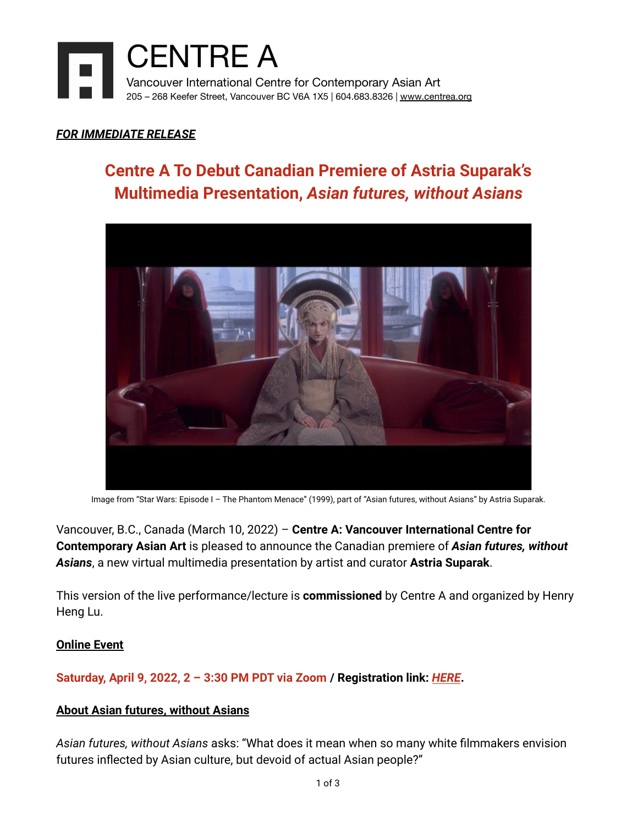

### *FOR IMMEDIATE RELEASE*

### **Centre A To Debut Canadian Premiere of Astria Suparak's Multimedia Presentation,** *Asian futures, without Asians*



Image from "Star Wars: Episode I – The Phantom Menace" (1999), part of "Asian futures, without Asians" by Astria Suparak.

Vancouver, B.C., Canada (March 10, 2022) – **Centre A: Vancouver International Centre for Contemporary Asian Art** is pleased to announce the Canadian premiere of *Asian futures, without Asians*, a new virtual multimedia presentation by artist and curator **Astria Suparak**.

This version of the live performance/lecture is **commissioned** by Centre A and organized by Henry Heng Lu.

### **Online Event**

**Saturday, April 9, 2022, 2 – 3:30 PM PDT via Zoom / Registration link:** *[HERE](https://us02web.zoom.us/meeting/register/tZEqfuirrTwtGdNX0MW4-7QdHH7u3eCS4yFN)***.**

### **About Asian futures, without Asians**

*Asian futures, without Asians* asks: "What does it mean when so many white filmmakers envision futures inflected by Asian culture, but devoid of actual Asian people?"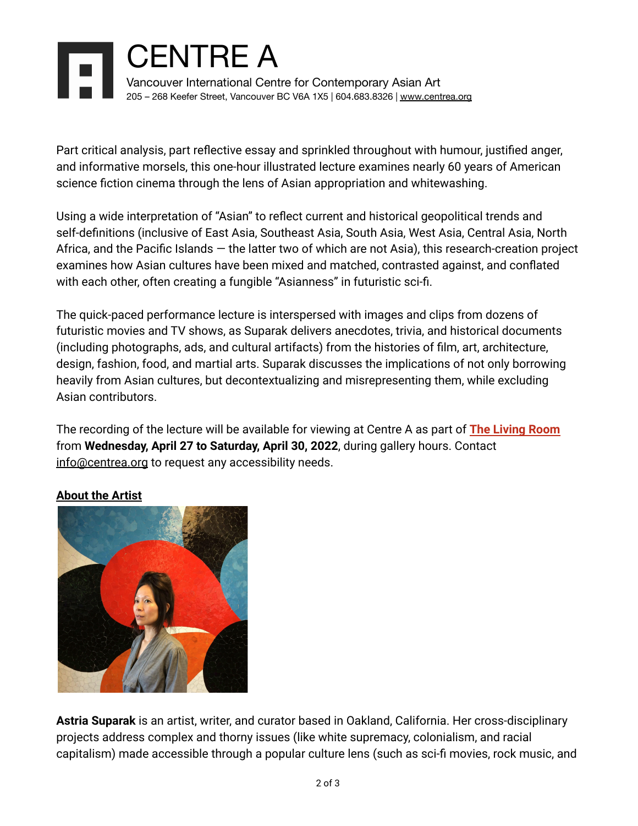# CENTRE A Vancouver International Centre for Contemporary Asian Art 205 – 268 Keefer Street, Vancouver BC V6A 1X5 | 604.683.8326 | [www.centrea.org](http://www.centrea.org)

Part critical analysis, part reflective essay and sprinkled throughout with humour, justified anger, and informative morsels, this one-hour illustrated lecture examines nearly 60 years of American science fiction cinema through the lens of Asian appropriation and whitewashing.

Using a wide interpretation of "Asian" to reflect current and historical geopolitical trends and self-definitions (inclusive of East Asia, Southeast Asia, South Asia, West Asia, Central Asia, North Africa, and the Pacific Islands — the latter two of which are not Asia), this research-creation project examines how Asian cultures have been mixed and matched, contrasted against, and conflated with each other, often creating a fungible "Asianness" in futuristic sci-fi.

The quick-paced performance lecture is interspersed with images and clips from dozens of futuristic movies and TV shows, as Suparak delivers anecdotes, trivia, and historical documents (including photographs, ads, and cultural artifacts) from the histories of film, art, architecture, design, fashion, food, and martial arts. Suparak discusses the implications of not only borrowing heavily from Asian cultures, but decontextualizing and misrepresenting them, while excluding Asian contributors.

The recording of the lecture will be available for viewing at Centre A as part of **The [Living](https://centrea.org/exhibitions/current/) Room** from **Wednesday, April 27 to Saturday, April 30, 2022**, during gallery hours. Contact [info@centrea.org](mailto:info@centrea.org) to request any accessibility needs.

### **About the Artist**



**Astria Suparak** is an artist, writer, and curator based in Oakland, California. Her cross-disciplinary projects address complex and thorny issues (like white supremacy, colonialism, and racial capitalism) made accessible through a popular culture lens (such as sci-fi movies, rock music, and